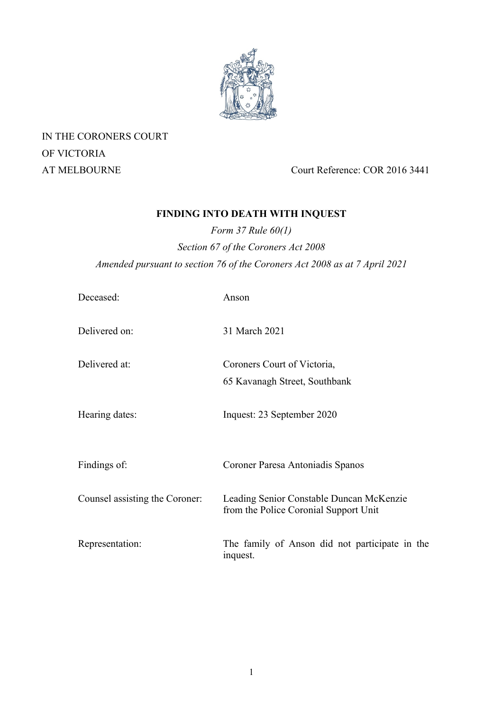

IN THE CORONERS COURT OF VICTORIA

AT MELBOURNE Court Reference: COR 2016 3441

# **FINDING INTO DEATH WITH INQUEST**

*Form 37 Rule 60(1) Section 67 of the Coroners Act 2008 Amended pursuant to section 76 of the Coroners Act 2008 as at 7 April 2021* 

| Deceased:                      | Anson                                                                             |
|--------------------------------|-----------------------------------------------------------------------------------|
| Delivered on:                  | 31 March 2021                                                                     |
| Delivered at:                  | Coroners Court of Victoria,                                                       |
|                                | 65 Kavanagh Street, Southbank                                                     |
| Hearing dates:                 | Inquest: 23 September 2020                                                        |
| Findings of:                   | Coroner Paresa Antoniadis Spanos                                                  |
| Counsel assisting the Coroner: | Leading Senior Constable Duncan McKenzie<br>from the Police Coronial Support Unit |
| Representation:                | The family of Anson did not participate in the<br>inquest.                        |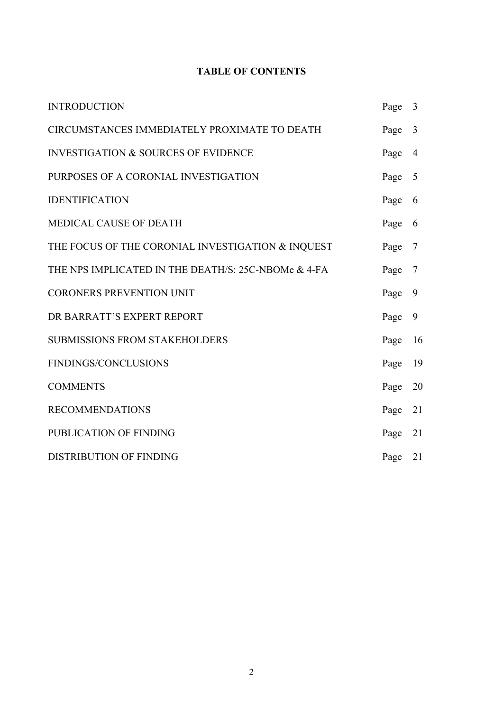# **TABLE OF CONTENTS**

| <b>INTRODUCTION</b>                                 | Page 3 |                |
|-----------------------------------------------------|--------|----------------|
| CIRCUMSTANCES IMMEDIATELY PROXIMATE TO DEATH        |        | 3              |
| <b>INVESTIGATION &amp; SOURCES OF EVIDENCE</b>      |        | $\overline{4}$ |
| PURPOSES OF A CORONIAL INVESTIGATION                |        | 5              |
| <b>IDENTIFICATION</b>                               |        | 6              |
| <b>MEDICAL CAUSE OF DEATH</b>                       |        | 6              |
| THE FOCUS OF THE CORONIAL INVESTIGATION & INQUEST   | Page   | $\overline{7}$ |
| THE NPS IMPLICATED IN THE DEATH/S: 25C-NBOMe & 4-FA | Page   | 7              |
| <b>CORONERS PREVENTION UNIT</b>                     |        | 9              |
| DR BARRATT'S EXPERT REPORT                          |        | 9              |
| <b>SUBMISSIONS FROM STAKEHOLDERS</b>                |        | 16             |
| FINDINGS/CONCLUSIONS                                | Page   | 19             |
| <b>COMMENTS</b>                                     |        | 20             |
| <b>RECOMMENDATIONS</b>                              | Page   | 21             |
| PUBLICATION OF FINDING                              | Page   | 21             |
| <b>DISTRIBUTION OF FINDING</b>                      | Page   | 21             |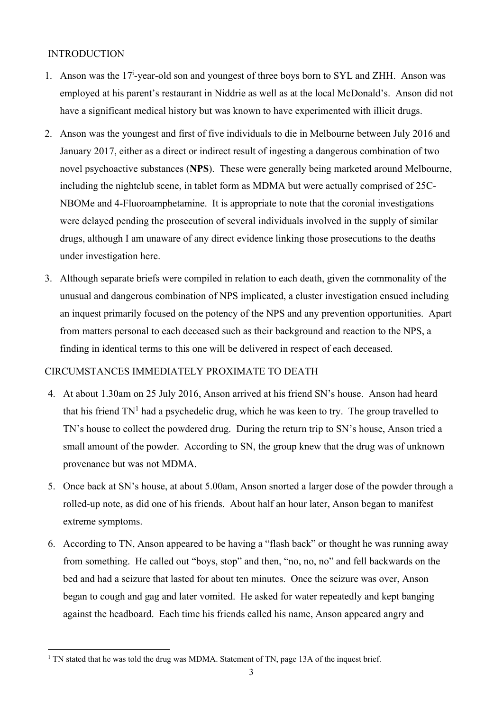### INTRODUCTION

- 1. Anson was the 17<sup>i</sup>-year-old son and youngest of three boys born to SYL and ZHH. Anson was employed at his parent's restaurant in Niddrie as well as at the local McDonald's. Anson did not have a significant medical history but was known to have experimented with illicit drugs.
- 2. Anson was the youngest and first of five individuals to die in Melbourne between July 2016 and January 2017, either as a direct or indirect result of ingesting a dangerous combination of two novel psychoactive substances (**NPS**). These were generally being marketed around Melbourne, including the nightclub scene, in tablet form as MDMA but were actually comprised of 25C-NBOMe and 4-Fluoroamphetamine. It is appropriate to note that the coronial investigations were delayed pending the prosecution of several individuals involved in the supply of similar drugs, although I am unaware of any direct evidence linking those prosecutions to the deaths under investigation here.
- 3. Although separate briefs were compiled in relation to each death, given the commonality of the unusual and dangerous combination of NPS implicated, a cluster investigation ensued including an inquest primarily focused on the potency of the NPS and any prevention opportunities. Apart from matters personal to each deceased such as their background and reaction to the NPS, a finding in identical terms to this one will be delivered in respect of each deceased.

### CIRCUMSTANCES IMMEDIATELY PROXIMATE TO DEATH

- 4. At about 1.30am on 25 July 2016, Anson arrived at his friend SN's house. Anson had heard that his friend  $TN<sup>1</sup>$  had a psychedelic drug, which he was keen to try. The group travelled to TN's house to collect the powdered drug. During the return trip to SN's house, Anson tried a small amount of the powder. According to SN, the group knew that the drug was of unknown provenance but was not MDMA.
- 5. Once back at SN's house, at about 5.00am, Anson snorted a larger dose of the powder through a rolled-up note, as did one of his friends. About half an hour later, Anson began to manifest extreme symptoms.
- 6. According to TN, Anson appeared to be having a "flash back" or thought he was running away from something. He called out "boys, stop" and then, "no, no, no" and fell backwards on the bed and had a seizure that lasted for about ten minutes. Once the seizure was over, Anson began to cough and gag and later vomited. He asked for water repeatedly and kept banging against the headboard. Each time his friends called his name, Anson appeared angry and

<sup>&</sup>lt;sup>1</sup> TN stated that he was told the drug was MDMA. Statement of TN, page 13A of the inquest brief.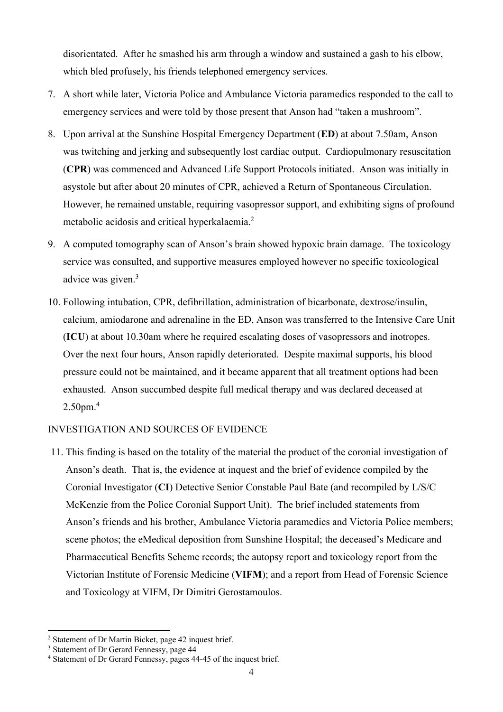disorientated. After he smashed his arm through a window and sustained a gash to his elbow, which bled profusely, his friends telephoned emergency services.

- 7. A short while later, Victoria Police and Ambulance Victoria paramedics responded to the call to emergency services and were told by those present that Anson had "taken a mushroom".
- 8. Upon arrival at the Sunshine Hospital Emergency Department (**ED**) at about 7.50am, Anson was twitching and jerking and subsequently lost cardiac output. Cardiopulmonary resuscitation (**CPR**) was commenced and Advanced Life Support Protocols initiated. Anson was initially in asystole but after about 20 minutes of CPR, achieved a Return of Spontaneous Circulation. However, he remained unstable, requiring vasopressor support, and exhibiting signs of profound metabolic acidosis and critical hyperkalaemia.<sup>2</sup>
- 9. A computed tomography scan of Anson's brain showed hypoxic brain damage. The toxicology service was consulted, and supportive measures employed however no specific toxicological advice was given.<sup>3</sup>
- 10. Following intubation, CPR, defibrillation, administration of bicarbonate, dextrose/insulin, calcium, amiodarone and adrenaline in the ED, Anson was transferred to the Intensive Care Unit (**ICU**) at about 10.30am where he required escalating doses of vasopressors and inotropes. Over the next four hours, Anson rapidly deteriorated. Despite maximal supports, his blood pressure could not be maintained, and it became apparent that all treatment options had been exhausted. Anson succumbed despite full medical therapy and was declared deceased at 2.50pm.<sup>4</sup>

### INVESTIGATION AND SOURCES OF EVIDENCE

11. This finding is based on the totality of the material the product of the coronial investigation of Anson's death. That is, the evidence at inquest and the brief of evidence compiled by the Coronial Investigator (**CI**) Detective Senior Constable Paul Bate (and recompiled by L/S/C McKenzie from the Police Coronial Support Unit). The brief included statements from Anson's friends and his brother, Ambulance Victoria paramedics and Victoria Police members; scene photos; the eMedical deposition from Sunshine Hospital; the deceased's Medicare and Pharmaceutical Benefits Scheme records; the autopsy report and toxicology report from the Victorian Institute of Forensic Medicine (**VIFM**); and a report from Head of Forensic Science and Toxicology at VIFM, Dr Dimitri Gerostamoulos.

<sup>&</sup>lt;sup>2</sup> Statement of Dr Martin Bicket, page 42 inquest brief.

<sup>&</sup>lt;sup>3</sup> Statement of Dr Gerard Fennessy, page 44

<sup>&</sup>lt;sup>4</sup> Statement of Dr Gerard Fennessy, pages 44-45 of the inquest brief.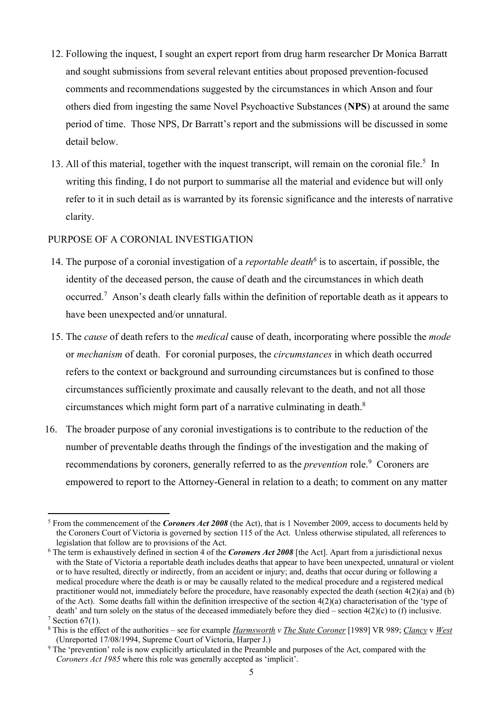- 12. Following the inquest, I sought an expert report from drug harm researcher Dr Monica Barratt and sought submissions from several relevant entities about proposed prevention-focused comments and recommendations suggested by the circumstances in which Anson and four others died from ingesting the same Novel Psychoactive Substances (**NPS**) at around the same period of time. Those NPS, Dr Barratt's report and the submissions will be discussed in some detail below.
- 13. All of this material, together with the inquest transcript, will remain on the coronial file.<sup>5</sup> In writing this finding, I do not purport to summarise all the material and evidence but will only refer to it in such detail as is warranted by its forensic significance and the interests of narrative clarity.

### PURPOSE OF A CORONIAL INVESTIGATION

- 14. The purpose of a coronial investigation of a *reportable death6* is to ascertain, if possible, the identity of the deceased person, the cause of death and the circumstances in which death occurred.<sup>7</sup> Anson's death clearly falls within the definition of reportable death as it appears to have been unexpected and/or unnatural.
- 15. The *cause* of death refers to the *medical* cause of death, incorporating where possible the *mode*  or *mechanism* of death. For coronial purposes, the *circumstances* in which death occurred refers to the context or background and surrounding circumstances but is confined to those circumstances sufficiently proximate and causally relevant to the death, and not all those circumstances which might form part of a narrative culminating in death.8
- 16. The broader purpose of any coronial investigations is to contribute to the reduction of the number of preventable deaths through the findings of the investigation and the making of recommendations by coroners, generally referred to as the *prevention* role.<sup>9</sup> Coroners are empowered to report to the Attorney-General in relation to a death; to comment on any matter

<sup>&</sup>lt;sup>5</sup> From the commencement of the *Coroners Act 2008* (the Act), that is 1 November 2009, access to documents held by the Coroners Court of Victoria is governed by section 115 of the Act. Unless otherwise stipulated, all references to legislation that follow are to provisions of the Act.

<sup>6</sup> The term is exhaustively defined in section 4 of the *Coroners Act 2008* [the Act]. Apart from a jurisdictional nexus with the State of Victoria a reportable death includes deaths that appear to have been unexpected, unnatural or violent or to have resulted, directly or indirectly, from an accident or injury; and, deaths that occur during or following a medical procedure where the death is or may be causally related to the medical procedure and a registered medical practitioner would not, immediately before the procedure, have reasonably expected the death (section 4(2)(a) and (b) of the Act). Some deaths fall within the definition irrespective of the section  $4(2)(a)$  characterisation of the 'type of death' and turn solely on the status of the deceased immediately before they died – section  $4(2)(c)$  to (f) inclusive.  $7$  Section 67(1).

<sup>8</sup> This is the effect of the authorities – see for example *Harmsworth v The State Coroner* [1989] VR 989; *Clancy* v *West* (Unreported 17/08/1994, Supreme Court of Victoria, Harper J.)

<sup>&</sup>lt;sup>9</sup> The 'prevention' role is now explicitly articulated in the Preamble and purposes of the Act, compared with the *Coroners Act 1985* where this role was generally accepted as 'implicit'.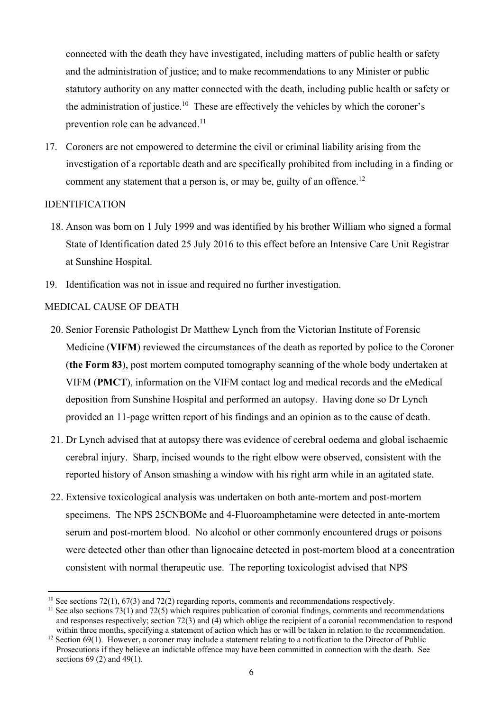connected with the death they have investigated, including matters of public health or safety and the administration of justice; and to make recommendations to any Minister or public statutory authority on any matter connected with the death, including public health or safety or the administration of justice.<sup>10</sup> These are effectively the vehicles by which the coroner's prevention role can be advanced.<sup>11</sup>

17. Coroners are not empowered to determine the civil or criminal liability arising from the investigation of a reportable death and are specifically prohibited from including in a finding or comment any statement that a person is, or may be, guilty of an offence.<sup>12</sup>

#### IDENTIFICATION

- 18. Anson was born on 1 July 1999 and was identified by his brother William who signed a formal State of Identification dated 25 July 2016 to this effect before an Intensive Care Unit Registrar at Sunshine Hospital.
- 19. Identification was not in issue and required no further investigation.

### MEDICAL CAUSE OF DEATH

- 20. Senior Forensic Pathologist Dr Matthew Lynch from the Victorian Institute of Forensic Medicine (**VIFM**) reviewed the circumstances of the death as reported by police to the Coroner (**the Form 83**), post mortem computed tomography scanning of the whole body undertaken at VIFM (**PMCT**), information on the VIFM contact log and medical records and the eMedical deposition from Sunshine Hospital and performed an autopsy. Having done so Dr Lynch provided an 11-page written report of his findings and an opinion as to the cause of death.
- 21. Dr Lynch advised that at autopsy there was evidence of cerebral oedema and global ischaemic cerebral injury. Sharp, incised wounds to the right elbow were observed, consistent with the reported history of Anson smashing a window with his right arm while in an agitated state.
- 22. Extensive toxicological analysis was undertaken on both ante-mortem and post-mortem specimens. The NPS 25CNBOMe and 4-Fluoroamphetamine were detected in ante-mortem serum and post-mortem blood. No alcohol or other commonly encountered drugs or poisons were detected other than other than lignocaine detected in post-mortem blood at a concentration consistent with normal therapeutic use. The reporting toxicologist advised that NPS

<sup>&</sup>lt;sup>10</sup> See sections 72(1), 67(3) and 72(2) regarding reports, comments and recommendations respectively.<br><sup>11</sup> See also sections 73(1) and 72(5) which requires publication of coronial findings, comments and recommendations

and responses respectively; section 72(3) and (4) which oblige the recipient of a coronial recommendation to respond within three months, specifying a statement of action which has or will be taken in relation to the recommendation.<br><sup>12</sup> Section 69(1). However, a coroner may include a statement relating to a notification to the Director

Prosecutions if they believe an indictable offence may have been committed in connection with the death. See sections 69 (2) and 49(1).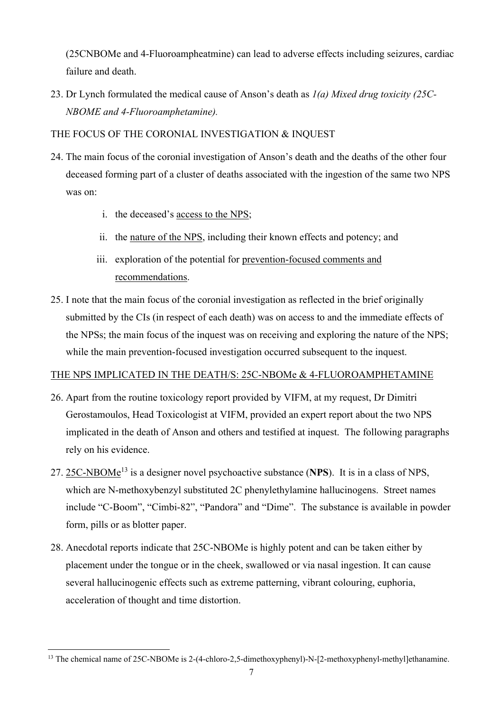(25CNBOMe and 4-Fluoroampheatmine) can lead to adverse effects including seizures, cardiac failure and death.

23. Dr Lynch formulated the medical cause of Anson's death as *1(a) Mixed drug toxicity (25C-NBOME and 4-Fluoroamphetamine).* 

### THE FOCUS OF THE CORONIAL INVESTIGATION & INQUEST

- 24. The main focus of the coronial investigation of Anson's death and the deaths of the other four deceased forming part of a cluster of deaths associated with the ingestion of the same two NPS was on:
	- i. the deceased's access to the NPS;
	- ii. the nature of the NPS, including their known effects and potency; and
	- iii. exploration of the potential for prevention-focused comments and recommendations.
- 25. I note that the main focus of the coronial investigation as reflected in the brief originally submitted by the CIs (in respect of each death) was on access to and the immediate effects of the NPSs; the main focus of the inquest was on receiving and exploring the nature of the NPS; while the main prevention-focused investigation occurred subsequent to the inquest.

### THE NPS IMPLICATED IN THE DEATH/S: 25C-NBOMe & 4-FLUOROAMPHETAMINE

- 26. Apart from the routine toxicology report provided by VIFM, at my request, Dr Dimitri Gerostamoulos, Head Toxicologist at VIFM, provided an expert report about the two NPS implicated in the death of Anson and others and testified at inquest. The following paragraphs rely on his evidence.
- 27. 25C-NBOMe13 is a designer novel psychoactive substance (**NPS**). It is in a class of NPS, which are N-methoxybenzyl substituted 2C phenylethylamine hallucinogens. Street names include "C-Boom", "Cimbi-82", "Pandora" and "Dime". The substance is available in powder form, pills or as blotter paper.
- 28. Anecdotal reports indicate that 25C-NBOMe is highly potent and can be taken either by placement under the tongue or in the cheek, swallowed or via nasal ingestion. It can cause several hallucinogenic effects such as extreme patterning, vibrant colouring, euphoria, acceleration of thought and time distortion.

<sup>&</sup>lt;sup>13</sup> The chemical name of 25C-NBOMe is 2-(4-chloro-2,5-dimethoxyphenyl)-N-[2-methoxyphenyl-methyl]ethanamine.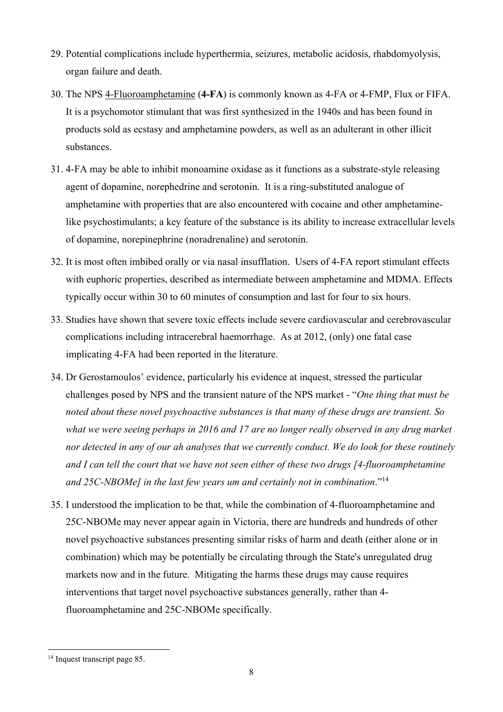- 29. Potential complications include hyperthermia, seizures, metabolic acidosis, rhabdomyolysis, organ failure and death.
- 30. The NPS 4-Fluoroamphetamine (**4-FA**) is commonly known as 4-FA or 4-FMP, Flux or FIFA. It is a psychomotor stimulant that was first synthesized in the 1940s and has been found in products sold as ecstasy and amphetamine powders, as well as an adulterant in other illicit substances.
- 31. 4-FA may be able to inhibit monoamine oxidase as it functions as a substrate-style releasing agent of dopamine, norephedrine and serotonin. It is a ring-substituted analogue of amphetamine with properties that are also encountered with cocaine and other amphetaminelike psychostimulants; a key feature of the substance is its ability to increase extracellular levels of dopamine, norepinephrine (noradrenaline) and serotonin.
- 32. It is most often imbibed orally or via nasal insufflation. Users of 4-FA report stimulant effects with euphoric properties, described as intermediate between amphetamine and MDMA. Effects typically occur within 30 to 60 minutes of consumption and last for four to six hours.
- 33. Studies have shown that severe toxic effects include severe cardiovascular and cerebrovascular complications including intracerebral haemorrhage. As at 2012, (only) one fatal case implicating 4-FA had been reported in the literature.
- 34. Dr Gerostamoulos' evidence, particularly his evidence at inquest, stressed the particular challenges posed by NPS and the transient nature of the NPS market - "*One thing that must be noted about these novel psychoactive substances is that many of these drugs are transient. So what we were seeing perhaps in 2016 and 17 are no longer really observed in any drug market nor detected in any of our ah analyses that we currently conduct. We do look for these routinely and I can tell the court that we have not seen either of these two drugs [4-fluoroamphetamine and 25C-NBOMe] in the last few years um and certainly not in combination*."<sup>14</sup>
- 35. I understood the implication to be that, while the combination of 4-fluoroamphetamine and 25C-NBOMe may never appear again in Victoria, there are hundreds and hundreds of other novel psychoactive substances presenting similar risks of harm and death (either alone or in combination) which may be potentially be circulating through the State's unregulated drug markets now and in the future. Mitigating the harms these drugs may cause requires interventions that target novel psychoactive substances generally, rather than 4 fluoroamphetamine and 25C-NBOMe specifically.

<sup>&</sup>lt;sup>14</sup> Inquest transcript page 85.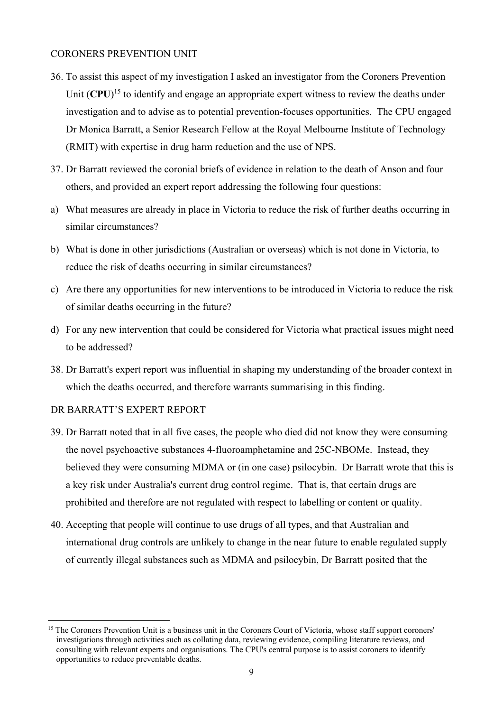### CORONERS PREVENTION UNIT

- 36. To assist this aspect of my investigation I asked an investigator from the Coroners Prevention Unit (CPU)<sup>15</sup> to identify and engage an appropriate expert witness to review the deaths under investigation and to advise as to potential prevention-focuses opportunities. The CPU engaged Dr Monica Barratt, a Senior Research Fellow at the Royal Melbourne Institute of Technology (RMIT) with expertise in drug harm reduction and the use of NPS.
- 37. Dr Barratt reviewed the coronial briefs of evidence in relation to the death of Anson and four others, and provided an expert report addressing the following four questions:
- a) What measures are already in place in Victoria to reduce the risk of further deaths occurring in similar circumstances?
- b) What is done in other jurisdictions (Australian or overseas) which is not done in Victoria, to reduce the risk of deaths occurring in similar circumstances?
- c) Are there any opportunities for new interventions to be introduced in Victoria to reduce the risk of similar deaths occurring in the future?
- d) For any new intervention that could be considered for Victoria what practical issues might need to be addressed?
- 38. Dr Barratt's expert report was influential in shaping my understanding of the broader context in which the deaths occurred, and therefore warrants summarising in this finding.

### DR BARRATT'S EXPERT REPORT

- 39. Dr Barratt noted that in all five cases, the people who died did not know they were consuming the novel psychoactive substances 4-fluoroamphetamine and 25C-NBOMe. Instead, they believed they were consuming MDMA or (in one case) psilocybin. Dr Barratt wrote that this is a key risk under Australia's current drug control regime. That is, that certain drugs are prohibited and therefore are not regulated with respect to labelling or content or quality.
- 40. Accepting that people will continue to use drugs of all types, and that Australian and international drug controls are unlikely to change in the near future to enable regulated supply of currently illegal substances such as MDMA and psilocybin, Dr Barratt posited that the

<sup>&</sup>lt;sup>15</sup> The Coroners Prevention Unit is a business unit in the Coroners Court of Victoria, whose staff support coroners' investigations through activities such as collating data, reviewing evidence, compiling literature reviews, and consulting with relevant experts and organisations. The CPU's central purpose is to assist coroners to identify opportunities to reduce preventable deaths.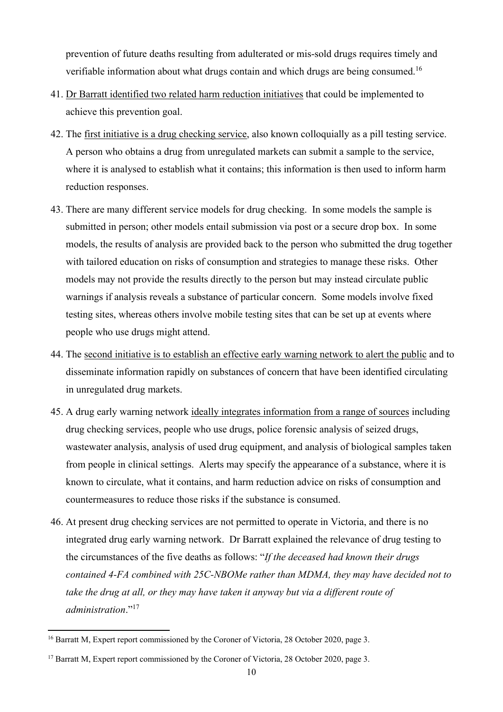prevention of future deaths resulting from adulterated or mis-sold drugs requires timely and verifiable information about what drugs contain and which drugs are being consumed.16

- 41. Dr Barratt identified two related harm reduction initiatives that could be implemented to achieve this prevention goal.
- 42. The first initiative is a drug checking service, also known colloquially as a pill testing service. A person who obtains a drug from unregulated markets can submit a sample to the service, where it is analysed to establish what it contains; this information is then used to inform harm reduction responses.
- 43. There are many different service models for drug checking. In some models the sample is submitted in person; other models entail submission via post or a secure drop box. In some models, the results of analysis are provided back to the person who submitted the drug together with tailored education on risks of consumption and strategies to manage these risks. Other models may not provide the results directly to the person but may instead circulate public warnings if analysis reveals a substance of particular concern. Some models involve fixed testing sites, whereas others involve mobile testing sites that can be set up at events where people who use drugs might attend.
- 44. The second initiative is to establish an effective early warning network to alert the public and to disseminate information rapidly on substances of concern that have been identified circulating in unregulated drug markets.
- 45. A drug early warning network ideally integrates information from a range of sources including drug checking services, people who use drugs, police forensic analysis of seized drugs, wastewater analysis, analysis of used drug equipment, and analysis of biological samples taken from people in clinical settings. Alerts may specify the appearance of a substance, where it is known to circulate, what it contains, and harm reduction advice on risks of consumption and countermeasures to reduce those risks if the substance is consumed.
- 46. At present drug checking services are not permitted to operate in Victoria, and there is no integrated drug early warning network. Dr Barratt explained the relevance of drug testing to the circumstances of the five deaths as follows: "*If the deceased had known their drugs contained 4-FA combined with 25C-NBOMe rather than MDMA, they may have decided not to take the drug at all, or they may have taken it anyway but via a different route of administration*."<sup>17</sup>

<sup>&</sup>lt;sup>16</sup> Barratt M, Expert report commissioned by the Coroner of Victoria, 28 October 2020, page 3.

<sup>&</sup>lt;sup>17</sup> Barratt M, Expert report commissioned by the Coroner of Victoria, 28 October 2020, page 3.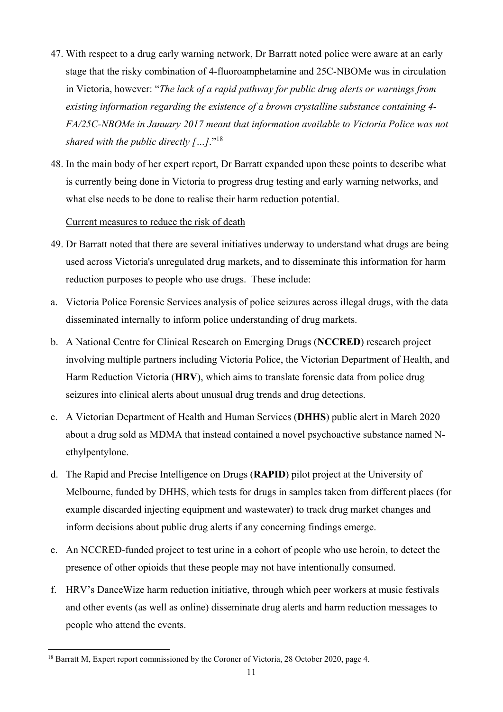- 47. With respect to a drug early warning network, Dr Barratt noted police were aware at an early stage that the risky combination of 4-fluoroamphetamine and 25C-NBOMe was in circulation in Victoria, however: "*The lack of a rapid pathway for public drug alerts or warnings from existing information regarding the existence of a brown crystalline substance containing 4- FA/25C-NBOMe in January 2017 meant that information available to Victoria Police was not shared with the public directly […]*."<sup>18</sup>
- 48. In the main body of her expert report, Dr Barratt expanded upon these points to describe what is currently being done in Victoria to progress drug testing and early warning networks, and what else needs to be done to realise their harm reduction potential.

### Current measures to reduce the risk of death

- 49. Dr Barratt noted that there are several initiatives underway to understand what drugs are being used across Victoria's unregulated drug markets, and to disseminate this information for harm reduction purposes to people who use drugs. These include:
- a. Victoria Police Forensic Services analysis of police seizures across illegal drugs, with the data disseminated internally to inform police understanding of drug markets.
- b. A National Centre for Clinical Research on Emerging Drugs (**NCCRED**) research project involving multiple partners including Victoria Police, the Victorian Department of Health, and Harm Reduction Victoria (**HRV**), which aims to translate forensic data from police drug seizures into clinical alerts about unusual drug trends and drug detections.
- c. A Victorian Department of Health and Human Services (**DHHS**) public alert in March 2020 about a drug sold as MDMA that instead contained a novel psychoactive substance named Nethylpentylone.
- d. The Rapid and Precise Intelligence on Drugs (**RAPID**) pilot project at the University of Melbourne, funded by DHHS, which tests for drugs in samples taken from different places (for example discarded injecting equipment and wastewater) to track drug market changes and inform decisions about public drug alerts if any concerning findings emerge.
- e. An NCCRED-funded project to test urine in a cohort of people who use heroin, to detect the presence of other opioids that these people may not have intentionally consumed.
- f. HRV's DanceWize harm reduction initiative, through which peer workers at music festivals and other events (as well as online) disseminate drug alerts and harm reduction messages to people who attend the events.

<sup>&</sup>lt;sup>18</sup> Barratt M, Expert report commissioned by the Coroner of Victoria, 28 October 2020, page 4.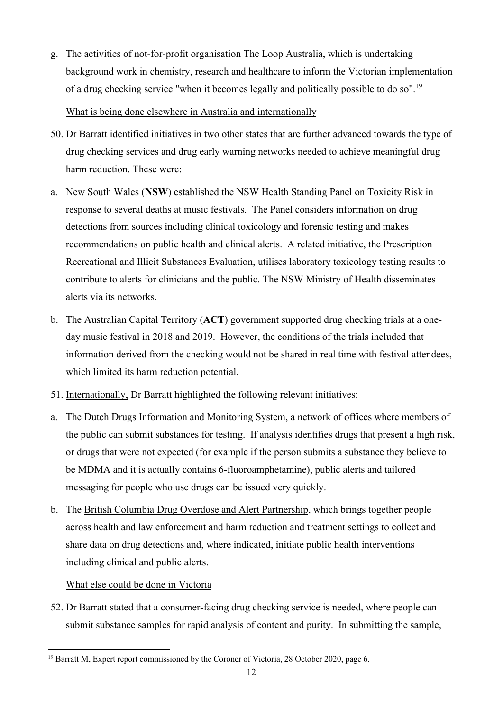- g. The activities of not-for-profit organisation The Loop Australia, which is undertaking background work in chemistry, research and healthcare to inform the Victorian implementation of a drug checking service "when it becomes legally and politically possible to do so".19 What is being done elsewhere in Australia and internationally
- 50. Dr Barratt identified initiatives in two other states that are further advanced towards the type of drug checking services and drug early warning networks needed to achieve meaningful drug harm reduction. These were:
- a. New South Wales (**NSW**) established the NSW Health Standing Panel on Toxicity Risk in response to several deaths at music festivals. The Panel considers information on drug detections from sources including clinical toxicology and forensic testing and makes recommendations on public health and clinical alerts. A related initiative, the Prescription Recreational and Illicit Substances Evaluation, utilises laboratory toxicology testing results to contribute to alerts for clinicians and the public. The NSW Ministry of Health disseminates alerts via its networks.
- b. The Australian Capital Territory (**ACT**) government supported drug checking trials at a oneday music festival in 2018 and 2019. However, the conditions of the trials included that information derived from the checking would not be shared in real time with festival attendees, which limited its harm reduction potential.
- 51. Internationally, Dr Barratt highlighted the following relevant initiatives:
- a. The Dutch Drugs Information and Monitoring System, a network of offices where members of the public can submit substances for testing. If analysis identifies drugs that present a high risk, or drugs that were not expected (for example if the person submits a substance they believe to be MDMA and it is actually contains 6-fluoroamphetamine), public alerts and tailored messaging for people who use drugs can be issued very quickly.
- b. The British Columbia Drug Overdose and Alert Partnership, which brings together people across health and law enforcement and harm reduction and treatment settings to collect and share data on drug detections and, where indicated, initiate public health interventions including clinical and public alerts.

## What else could be done in Victoria

52. Dr Barratt stated that a consumer-facing drug checking service is needed, where people can submit substance samples for rapid analysis of content and purity. In submitting the sample,

<sup>&</sup>lt;sup>19</sup> Barratt M, Expert report commissioned by the Coroner of Victoria, 28 October 2020, page 6.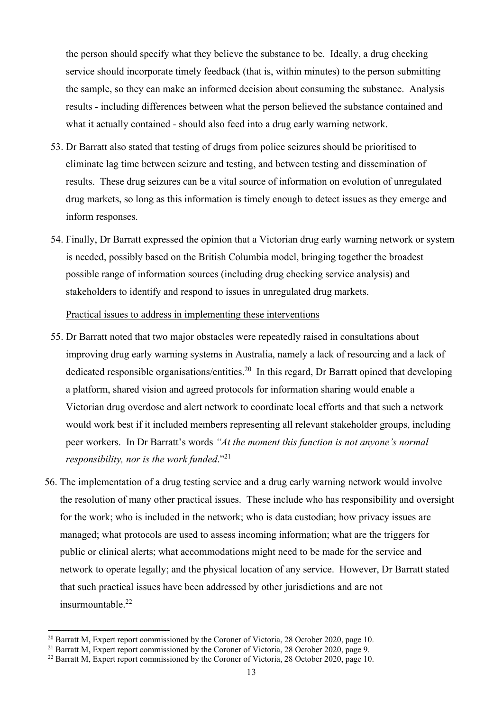the person should specify what they believe the substance to be. Ideally, a drug checking service should incorporate timely feedback (that is, within minutes) to the person submitting the sample, so they can make an informed decision about consuming the substance. Analysis results - including differences between what the person believed the substance contained and what it actually contained - should also feed into a drug early warning network.

- 53. Dr Barratt also stated that testing of drugs from police seizures should be prioritised to eliminate lag time between seizure and testing, and between testing and dissemination of results. These drug seizures can be a vital source of information on evolution of unregulated drug markets, so long as this information is timely enough to detect issues as they emerge and inform responses.
- 54. Finally, Dr Barratt expressed the opinion that a Victorian drug early warning network or system is needed, possibly based on the British Columbia model, bringing together the broadest possible range of information sources (including drug checking service analysis) and stakeholders to identify and respond to issues in unregulated drug markets.

Practical issues to address in implementing these interventions

- 55. Dr Barratt noted that two major obstacles were repeatedly raised in consultations about improving drug early warning systems in Australia, namely a lack of resourcing and a lack of dedicated responsible organisations/entities.<sup>20</sup> In this regard, Dr Barratt opined that developing a platform, shared vision and agreed protocols for information sharing would enable a Victorian drug overdose and alert network to coordinate local efforts and that such a network would work best if it included members representing all relevant stakeholder groups, including peer workers. In Dr Barratt's words *"At the moment this function is not anyone's normal responsibility, nor is the work funded*."<sup>21</sup>
- 56. The implementation of a drug testing service and a drug early warning network would involve the resolution of many other practical issues. These include who has responsibility and oversight for the work; who is included in the network; who is data custodian; how privacy issues are managed; what protocols are used to assess incoming information; what are the triggers for public or clinical alerts; what accommodations might need to be made for the service and network to operate legally; and the physical location of any service. However, Dr Barratt stated that such practical issues have been addressed by other jurisdictions and are not insurmountable.<sup>22</sup>

<sup>&</sup>lt;sup>20</sup> Barratt M, Expert report commissioned by the Coroner of Victoria, 28 October 2020, page 10.<br><sup>21</sup> Barratt M, Expert report commissioned by the Coroner of Victoria, 28 October 2020, page 9.

 $^{22}$  Barratt M, Expert report commissioned by the Coroner of Victoria, 28 October 2020, page 10.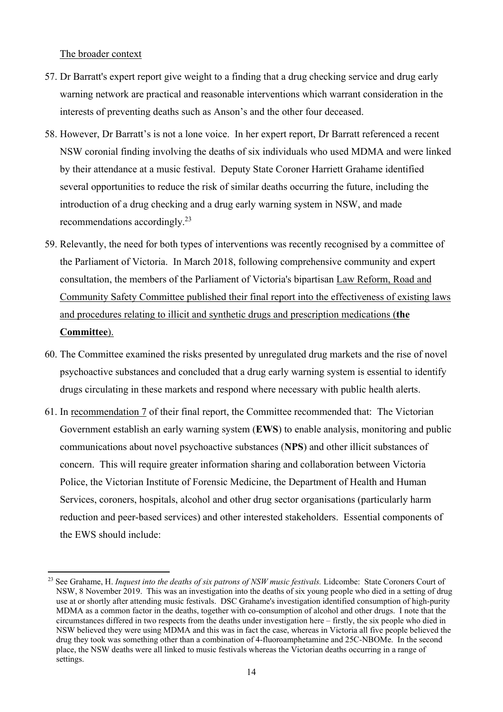The broader context

- 57. Dr Barratt's expert report give weight to a finding that a drug checking service and drug early warning network are practical and reasonable interventions which warrant consideration in the interests of preventing deaths such as Anson's and the other four deceased.
- 58. However, Dr Barratt's is not a lone voice. In her expert report, Dr Barratt referenced a recent NSW coronial finding involving the deaths of six individuals who used MDMA and were linked by their attendance at a music festival. Deputy State Coroner Harriett Grahame identified several opportunities to reduce the risk of similar deaths occurring the future, including the introduction of a drug checking and a drug early warning system in NSW, and made recommendations accordingly.23
- 59. Relevantly, the need for both types of interventions was recently recognised by a committee of the Parliament of Victoria. In March 2018, following comprehensive community and expert consultation, the members of the Parliament of Victoria's bipartisan Law Reform, Road and Community Safety Committee published their final report into the effectiveness of existing laws and procedures relating to illicit and synthetic drugs and prescription medications (**the Committee**).
- 60. The Committee examined the risks presented by unregulated drug markets and the rise of novel psychoactive substances and concluded that a drug early warning system is essential to identify drugs circulating in these markets and respond where necessary with public health alerts.
- 61. In recommendation 7 of their final report, the Committee recommended that: The Victorian Government establish an early warning system (**EWS**) to enable analysis, monitoring and public communications about novel psychoactive substances (**NPS**) and other illicit substances of concern. This will require greater information sharing and collaboration between Victoria Police, the Victorian Institute of Forensic Medicine, the Department of Health and Human Services, coroners, hospitals, alcohol and other drug sector organisations (particularly harm reduction and peer-based services) and other interested stakeholders. Essential components of the EWS should include:

<sup>&</sup>lt;sup>23</sup> See Grahame, H. *Inquest into the deaths of six patrons of NSW music festivals*. Lidcombe: State Coroners Court of NSW, 8 November 2019. This was an investigation into the deaths of six young people who died in a setting of drug use at or shortly after attending music festivals. DSC Grahame's investigation identified consumption of high-purity MDMA as a common factor in the deaths, together with co-consumption of alcohol and other drugs. I note that the circumstances differed in two respects from the deaths under investigation here – firstly, the six people who died in NSW believed they were using MDMA and this was in fact the case, whereas in Victoria all five people believed the drug they took was something other than a combination of 4-fluoroamphetamine and 25C-NBOMe. In the second place, the NSW deaths were all linked to music festivals whereas the Victorian deaths occurring in a range of settings.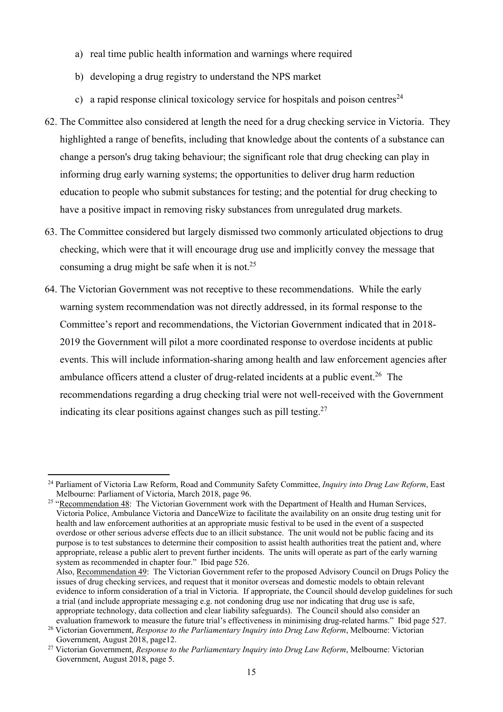- a) real time public health information and warnings where required
- b) developing a drug registry to understand the NPS market
- c) a rapid response clinical toxicology service for hospitals and poison centres<sup>24</sup>
- 62. The Committee also considered at length the need for a drug checking service in Victoria. They highlighted a range of benefits, including that knowledge about the contents of a substance can change a person's drug taking behaviour; the significant role that drug checking can play in informing drug early warning systems; the opportunities to deliver drug harm reduction education to people who submit substances for testing; and the potential for drug checking to have a positive impact in removing risky substances from unregulated drug markets.
- 63. The Committee considered but largely dismissed two commonly articulated objections to drug checking, which were that it will encourage drug use and implicitly convey the message that consuming a drug might be safe when it is not.<sup>25</sup>
- 64. The Victorian Government was not receptive to these recommendations. While the early warning system recommendation was not directly addressed, in its formal response to the Committee's report and recommendations, the Victorian Government indicated that in 2018- 2019 the Government will pilot a more coordinated response to overdose incidents at public events. This will include information-sharing among health and law enforcement agencies after ambulance officers attend a cluster of drug-related incidents at a public event.<sup>26</sup> The recommendations regarding a drug checking trial were not well-received with the Government indicating its clear positions against changes such as pill testing.<sup>27</sup>

<sup>24</sup> Parliament of Victoria Law Reform, Road and Community Safety Committee, *Inquiry into Drug Law Reform*, East Melbourne: Parliament of Victoria, March 2018, page 96.

<sup>&</sup>lt;sup>25</sup> "Recommendation 48: The Victorian Government work with the Department of Health and Human Services, Victoria Police, Ambulance Victoria and DanceWize to facilitate the availability on an onsite drug testing unit for health and law enforcement authorities at an appropriate music festival to be used in the event of a suspected overdose or other serious adverse effects due to an illicit substance. The unit would not be public facing and its purpose is to test substances to determine their composition to assist health authorities treat the patient and, where appropriate, release a public alert to prevent further incidents. The units will operate as part of the early warning system as recommended in chapter four." Ibid page 526.

Also, Recommendation 49: The Victorian Government refer to the proposed Advisory Council on Drugs Policy the issues of drug checking services, and request that it monitor overseas and domestic models to obtain relevant evidence to inform consideration of a trial in Victoria. If appropriate, the Council should develop guidelines for such a trial (and include appropriate messaging e.g. not condoning drug use nor indicating that drug use is safe, appropriate technology, data collection and clear liability safeguards). The Council should also consider an evaluation framework to measure the future trial's effectiveness in minimising drug-related harms." Ibid page 527.

<sup>26</sup> Victorian Government, *Response to the Parliamentary Inquiry into Drug Law Reform*, Melbourne: Victorian Government, August 2018, page12.

<sup>27</sup> Victorian Government, *Response to the Parliamentary Inquiry into Drug Law Reform*, Melbourne: Victorian Government, August 2018, page 5.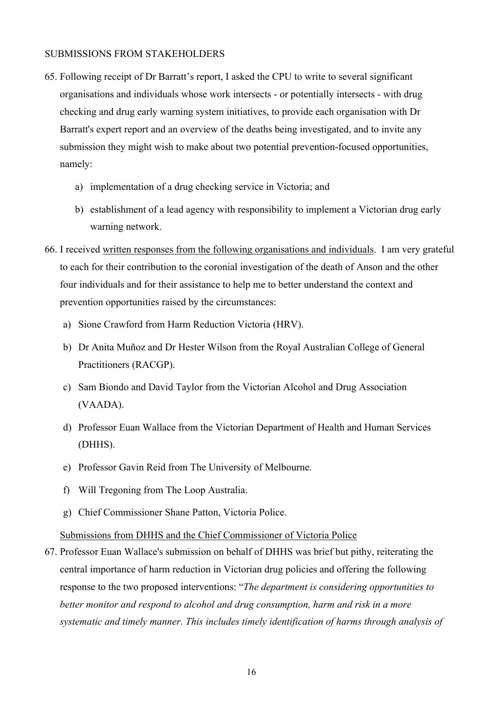#### SUBMISSIONS FROM STAKEHOLDERS

- 65. Following receipt of Dr Barratt's report, I asked the CPU to write to several significant organisations and individuals whose work intersects - or potentially intersects - with drug checking and drug early warning system initiatives, to provide each organisation with Dr Barratt's expert report and an overview of the deaths being investigated, and to invite any submission they might wish to make about two potential prevention-focused opportunities, namely:
	- a) implementation of a drug checking service in Victoria; and
	- b) establishment of a lead agency with responsibility to implement a Victorian drug early warning network.
- 66. I received written responses from the following organisations and individuals. I am very grateful to each for their contribution to the coronial investigation of the death of Anson and the other four individuals and for their assistance to help me to better understand the context and prevention opportunities raised by the circumstances:
	- a) Sione Crawford from Harm Reduction Victoria (HRV).
	- b) Dr Anita Muñoz and Dr Hester Wilson from the Royal Australian College of General Practitioners (RACGP).
	- c) Sam Biondo and David Taylor from the Victorian Alcohol and Drug Association (VAADA).
	- d) Professor Euan Wallace from the Victorian Department of Health and Human Services (DHHS).
	- e) Professor Gavin Reid from The University of Melbourne.
	- f) Will Tregoning from The Loop Australia.
	- g) Chief Commissioner Shane Patton, Victoria Police.

Submissions from DHHS and the Chief Commissioner of Victoria Police

67. Professor Euan Wallace's submission on behalf of DHHS was brief but pithy, reiterating the central importance of harm reduction in Victorian drug policies and offering the following response to the two proposed interventions: "*The department is considering opportunities to better monitor and respond to alcohol and drug consumption, harm and risk in a more systematic and timely manner. This includes timely identification of harms through analysis of*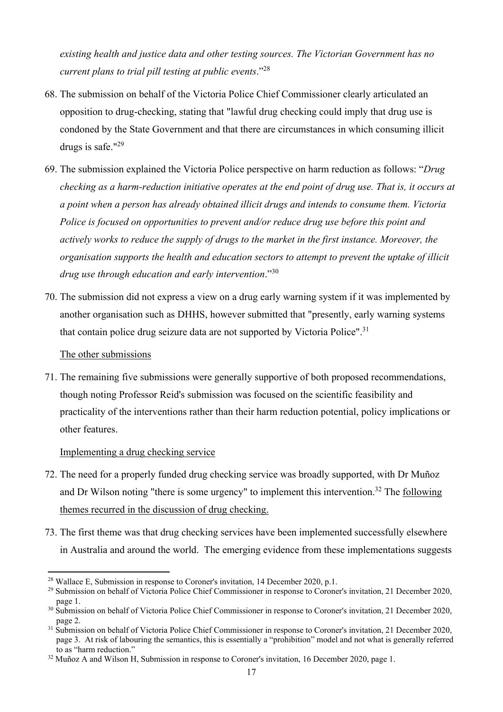*existing health and justice data and other testing sources. The Victorian Government has no current plans to trial pill testing at public events*."<sup>28</sup>

- 68. The submission on behalf of the Victoria Police Chief Commissioner clearly articulated an opposition to drug-checking, stating that "lawful drug checking could imply that drug use is condoned by the State Government and that there are circumstances in which consuming illicit drugs is safe."<sup>29</sup>
- 69. The submission explained the Victoria Police perspective on harm reduction as follows: "*Drug checking as a harm-reduction initiative operates at the end point of drug use. That is, it occurs at a point when a person has already obtained illicit drugs and intends to consume them. Victoria Police is focused on opportunities to prevent and/or reduce drug use before this point and actively works to reduce the supply of drugs to the market in the first instance. Moreover, the organisation supports the health and education sectors to attempt to prevent the uptake of illicit drug use through education and early intervention*."<sup>30</sup>
- 70. The submission did not express a view on a drug early warning system if it was implemented by another organisation such as DHHS, however submitted that "presently, early warning systems that contain police drug seizure data are not supported by Victoria Police".<sup>31</sup>

### The other submissions

71. The remaining five submissions were generally supportive of both proposed recommendations, though noting Professor Reid's submission was focused on the scientific feasibility and practicality of the interventions rather than their harm reduction potential, policy implications or other features.

### Implementing a drug checking service

- 72. The need for a properly funded drug checking service was broadly supported, with Dr Muñoz and Dr Wilson noting "there is some urgency" to implement this intervention.<sup>32</sup> The following themes recurred in the discussion of drug checking.
- 73. The first theme was that drug checking services have been implemented successfully elsewhere in Australia and around the world. The emerging evidence from these implementations suggests

<sup>&</sup>lt;sup>28</sup> Wallace E, Submission in response to Coroner's invitation, 14 December 2020, p.1.

<sup>29</sup> Submission on behalf of Victoria Police Chief Commissioner in response to Coroner's invitation, 21 December 2020, page 1.

<sup>&</sup>lt;sup>30</sup> Submission on behalf of Victoria Police Chief Commissioner in response to Coroner's invitation, 21 December 2020, page 2.

<sup>&</sup>lt;sup>31</sup> Submission on behalf of Victoria Police Chief Commissioner in response to Coroner's invitation, 21 December 2020, page 3. At risk of labouring the semantics, this is essentially a "prohibition" model and not what is generally referred to as "harm reduction."

<sup>&</sup>lt;sup>32</sup> Muñoz A and Wilson H, Submission in response to Coroner's invitation, 16 December 2020, page 1.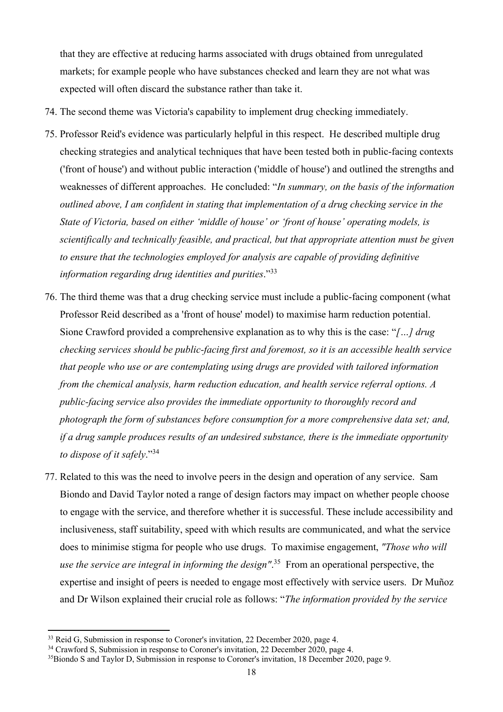that they are effective at reducing harms associated with drugs obtained from unregulated markets; for example people who have substances checked and learn they are not what was expected will often discard the substance rather than take it.

- 74. The second theme was Victoria's capability to implement drug checking immediately.
- 75. Professor Reid's evidence was particularly helpful in this respect. He described multiple drug checking strategies and analytical techniques that have been tested both in public-facing contexts ('front of house') and without public interaction ('middle of house') and outlined the strengths and weaknesses of different approaches. He concluded: "*In summary, on the basis of the information outlined above, I am confident in stating that implementation of a drug checking service in the State of Victoria, based on either 'middle of house' or 'front of house' operating models, is scientifically and technically feasible, and practical, but that appropriate attention must be given to ensure that the technologies employed for analysis are capable of providing definitive information regarding drug identities and purities*."<sup>33</sup>
- 76. The third theme was that a drug checking service must include a public-facing component (what Professor Reid described as a 'front of house' model) to maximise harm reduction potential. Sione Crawford provided a comprehensive explanation as to why this is the case: "*[…] drug checking services should be public-facing first and foremost, so it is an accessible health service that people who use or are contemplating using drugs are provided with tailored information from the chemical analysis, harm reduction education, and health service referral options. A public-facing service also provides the immediate opportunity to thoroughly record and photograph the form of substances before consumption for a more comprehensive data set; and, if a drug sample produces results of an undesired substance, there is the immediate opportunity to dispose of it safely*."34
- 77. Related to this was the need to involve peers in the design and operation of any service. Sam Biondo and David Taylor noted a range of design factors may impact on whether people choose to engage with the service, and therefore whether it is successful. These include accessibility and inclusiveness, staff suitability, speed with which results are communicated, and what the service does to minimise stigma for people who use drugs. To maximise engagement, *"Those who will use the service are integral in informing the design"*. 35 From an operational perspective, the expertise and insight of peers is needed to engage most effectively with service users. Dr Muñoz and Dr Wilson explained their crucial role as follows: "*The information provided by the service*

<sup>&</sup>lt;sup>33</sup> Reid G, Submission in response to Coroner's invitation, 22 December 2020, page 4.

<sup>&</sup>lt;sup>34</sup> Crawford S, Submission in response to Coroner's invitation, 22 December 2020, page 4.

<sup>&</sup>lt;sup>35</sup>Biondo S and Taylor D, Submission in response to Coroner's invitation, 18 December 2020, page 9.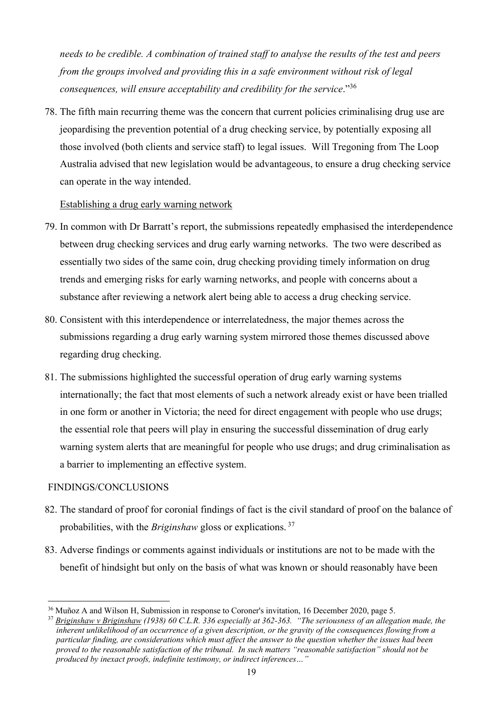*needs to be credible. A combination of trained staff to analyse the results of the test and peers from the groups involved and providing this in a safe environment without risk of legal consequences, will ensure acceptability and credibility for the service*."36

78. The fifth main recurring theme was the concern that current policies criminalising drug use are jeopardising the prevention potential of a drug checking service, by potentially exposing all those involved (both clients and service staff) to legal issues. Will Tregoning from The Loop Australia advised that new legislation would be advantageous, to ensure a drug checking service can operate in the way intended.

### Establishing a drug early warning network

- 79. In common with Dr Barratt's report, the submissions repeatedly emphasised the interdependence between drug checking services and drug early warning networks. The two were described as essentially two sides of the same coin, drug checking providing timely information on drug trends and emerging risks for early warning networks, and people with concerns about a substance after reviewing a network alert being able to access a drug checking service.
- 80. Consistent with this interdependence or interrelatedness, the major themes across the submissions regarding a drug early warning system mirrored those themes discussed above regarding drug checking.
- 81. The submissions highlighted the successful operation of drug early warning systems internationally; the fact that most elements of such a network already exist or have been trialled in one form or another in Victoria; the need for direct engagement with people who use drugs; the essential role that peers will play in ensuring the successful dissemination of drug early warning system alerts that are meaningful for people who use drugs; and drug criminalisation as a barrier to implementing an effective system.

### FINDINGS/CONCLUSIONS

- 82. The standard of proof for coronial findings of fact is the civil standard of proof on the balance of probabilities, with the *Briginshaw* gloss or explications. 37
- 83. Adverse findings or comments against individuals or institutions are not to be made with the benefit of hindsight but only on the basis of what was known or should reasonably have been

<sup>&</sup>lt;sup>36</sup> Muñoz A and Wilson H, Submission in response to Coroner's invitation, 16 December 2020, page 5.

<sup>37</sup> *Briginshaw v Briginshaw (1938) 60 C.L.R. 336 especially at 362-363. "The seriousness of an allegation made, the inherent unlikelihood of an occurrence of a given description, or the gravity of the consequences flowing from a particular finding, are considerations which must affect the answer to the question whether the issues had been proved to the reasonable satisfaction of the tribunal. In such matters "reasonable satisfaction" should not be produced by inexact proofs, indefinite testimony, or indirect inferences…"*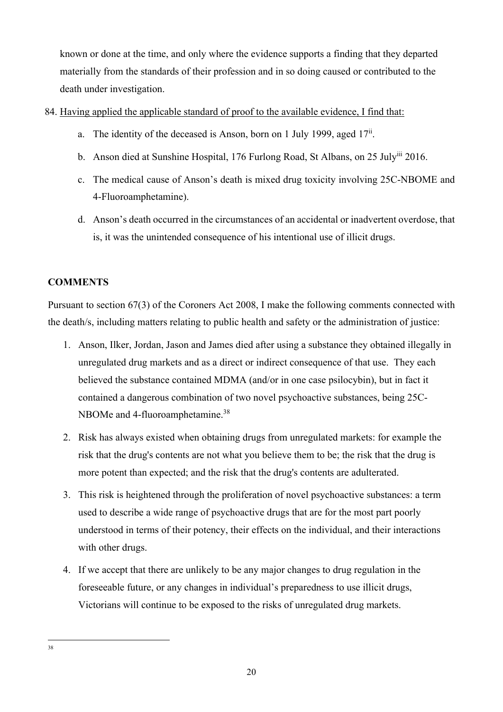known or done at the time, and only where the evidence supports a finding that they departed materially from the standards of their profession and in so doing caused or contributed to the death under investigation.

### 84. Having applied the applicable standard of proof to the available evidence, I find that:

- a. The identity of the deceased is Anson, born on 1 July 1999, aged  $17<sup>ii</sup>$ .
- b. Anson died at Sunshine Hospital, 176 Furlong Road, St Albans, on 25 Julyiii 2016.
- c. The medical cause of Anson's death is mixed drug toxicity involving 25C-NBOME and 4-Fluoroamphetamine).
- d. Anson's death occurred in the circumstances of an accidental or inadvertent overdose, that is, it was the unintended consequence of his intentional use of illicit drugs.

# **COMMENTS**

Pursuant to section 67(3) of the Coroners Act 2008, I make the following comments connected with the death/s, including matters relating to public health and safety or the administration of justice:

- 1. Anson, Ilker, Jordan, Jason and James died after using a substance they obtained illegally in unregulated drug markets and as a direct or indirect consequence of that use. They each believed the substance contained MDMA (and/or in one case psilocybin), but in fact it contained a dangerous combination of two novel psychoactive substances, being 25C-NBOMe and 4-fluoroamphetamine.<sup>38</sup>
- 2. Risk has always existed when obtaining drugs from unregulated markets: for example the risk that the drug's contents are not what you believe them to be; the risk that the drug is more potent than expected; and the risk that the drug's contents are adulterated.
- 3. This risk is heightened through the proliferation of novel psychoactive substances: a term used to describe a wide range of psychoactive drugs that are for the most part poorly understood in terms of their potency, their effects on the individual, and their interactions with other drugs.
- 4. If we accept that there are unlikely to be any major changes to drug regulation in the foreseeable future, or any changes in individual's preparedness to use illicit drugs, Victorians will continue to be exposed to the risks of unregulated drug markets.

<sup>38</sup>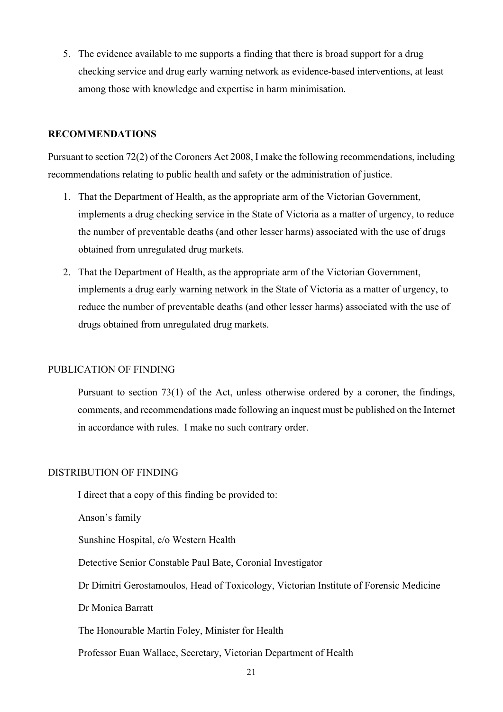5. The evidence available to me supports a finding that there is broad support for a drug checking service and drug early warning network as evidence-based interventions, at least among those with knowledge and expertise in harm minimisation.

### **RECOMMENDATIONS**

Pursuant to section 72(2) of the Coroners Act 2008, I make the following recommendations, including recommendations relating to public health and safety or the administration of justice.

- 1. That the Department of Health, as the appropriate arm of the Victorian Government, implements a drug checking service in the State of Victoria as a matter of urgency, to reduce the number of preventable deaths (and other lesser harms) associated with the use of drugs obtained from unregulated drug markets.
- 2. That the Department of Health, as the appropriate arm of the Victorian Government, implements a drug early warning network in the State of Victoria as a matter of urgency, to reduce the number of preventable deaths (and other lesser harms) associated with the use of drugs obtained from unregulated drug markets.

### PUBLICATION OF FINDING

Pursuant to section 73(1) of the Act, unless otherwise ordered by a coroner, the findings, comments, and recommendations made following an inquest must be published on the Internet in accordance with rules. I make no such contrary order.

### DISTRIBUTION OF FINDING

I direct that a copy of this finding be provided to:

Anson's family

Sunshine Hospital, c/o Western Health

Detective Senior Constable Paul Bate, Coronial Investigator

Dr Dimitri Gerostamoulos, Head of Toxicology, Victorian Institute of Forensic Medicine

Dr Monica Barratt

The Honourable Martin Foley, Minister for Health

Professor Euan Wallace, Secretary, Victorian Department of Health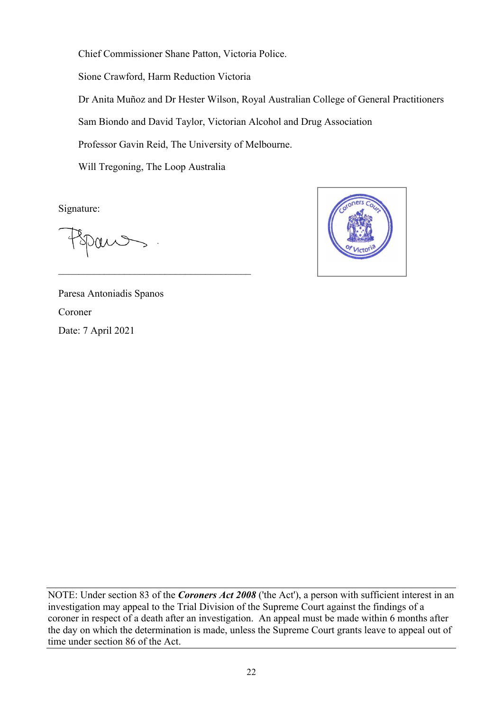Chief Commissioner Shane Patton, Victoria Police. Sione Crawford, Harm Reduction Victoria Dr Anita Muñoz and Dr Hester Wilson, Royal Australian College of General Practitioners Sam Biondo and David Taylor, Victorian Alcohol and Drug Association Professor Gavin Reid, The University of Melbourne.

Will Tregoning, The Loop Australia

Signature:



Paresa Antoniadis Spanos Coroner Date: 7 April 2021

NOTE: Under section 83 of the *Coroners Act 2008* ('the Act'), a person with sufficient interest in an investigation may appeal to the Trial Division of the Supreme Court against the findings of a coroner in respect of a death after an investigation. An appeal must be made within 6 months after the day on which the determination is made, unless the Supreme Court grants leave to appeal out of time under section 86 of the Act.